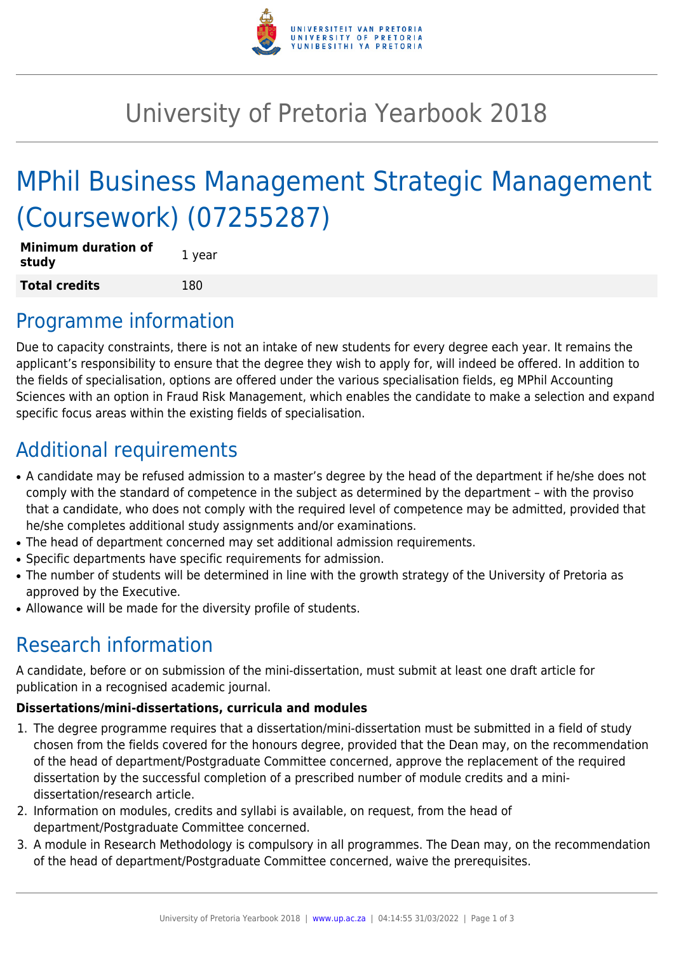

## University of Pretoria Yearbook 2018

# MPhil Business Management Strategic Management (Coursework) (07255287)

| <b>Minimum duration of</b><br>study | 1 year |
|-------------------------------------|--------|
| <b>Total credits</b>                | 180    |

### Programme information

Due to capacity constraints, there is not an intake of new students for every degree each year. It remains the applicant's responsibility to ensure that the degree they wish to apply for, will indeed be offered. In addition to the fields of specialisation, options are offered under the various specialisation fields, eg MPhil Accounting Sciences with an option in Fraud Risk Management, which enables the candidate to make a selection and expand specific focus areas within the existing fields of specialisation.

## Additional requirements

- A candidate may be refused admission to a master's degree by the head of the department if he/she does not comply with the standard of competence in the subject as determined by the department – with the proviso that a candidate, who does not comply with the required level of competence may be admitted, provided that he/she completes additional study assignments and/or examinations.
- The head of department concerned may set additional admission requirements.
- Specific departments have specific requirements for admission.
- The number of students will be determined in line with the growth strategy of the University of Pretoria as approved by the Executive.
- Allowance will be made for the diversity profile of students.

## Research information

A candidate, before or on submission of the mini-dissertation, must submit at least one draft article for publication in a recognised academic journal.

#### **Dissertations/mini-dissertations, curricula and modules**

- 1. The degree programme requires that a dissertation/mini-dissertation must be submitted in a field of study chosen from the fields covered for the honours degree, provided that the Dean may, on the recommendation of the head of department/Postgraduate Committee concerned, approve the replacement of the required dissertation by the successful completion of a prescribed number of module credits and a minidissertation/research article.
- 2. Information on modules, credits and syllabi is available, on request, from the head of department/Postgraduate Committee concerned.
- 3. A module in Research Methodology is compulsory in all programmes. The Dean may, on the recommendation of the head of department/Postgraduate Committee concerned, waive the prerequisites.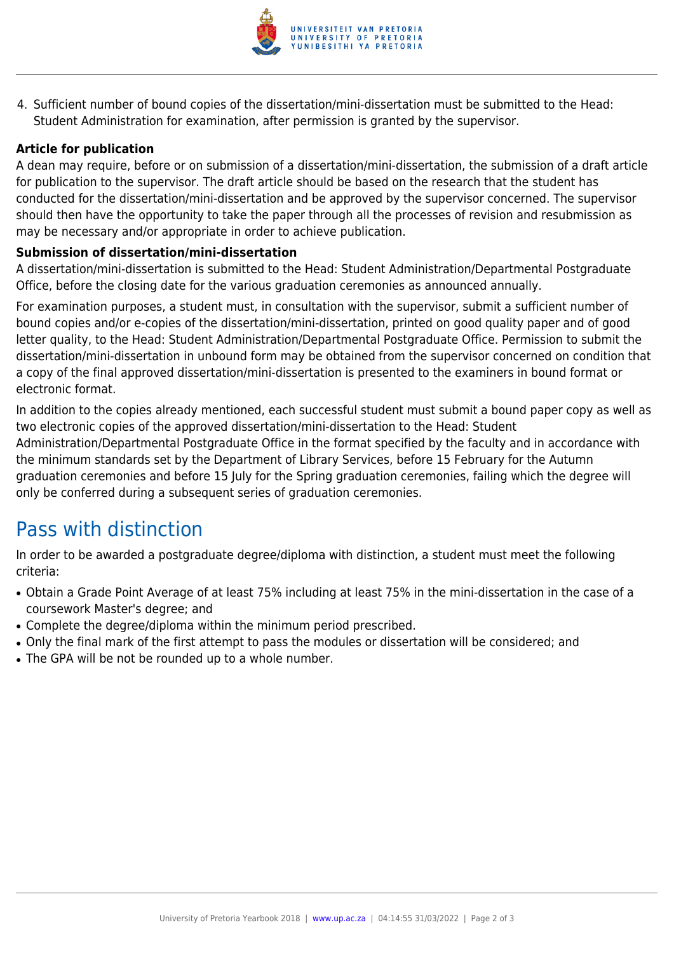

4. Sufficient number of bound copies of the dissertation/mini-dissertation must be submitted to the Head: Student Administration for examination, after permission is granted by the supervisor.

#### **Article for publication**

A dean may require, before or on submission of a dissertation/mini-dissertation, the submission of a draft article for publication to the supervisor. The draft article should be based on the research that the student has conducted for the dissertation/mini-dissertation and be approved by the supervisor concerned. The supervisor should then have the opportunity to take the paper through all the processes of revision and resubmission as may be necessary and/or appropriate in order to achieve publication.

#### **Submission of dissertation/mini-dissertation**

A dissertation/mini-dissertation is submitted to the Head: Student Administration/Departmental Postgraduate Office, before the closing date for the various graduation ceremonies as announced annually.

For examination purposes, a student must, in consultation with the supervisor, submit a sufficient number of bound copies and/or e-copies of the dissertation/mini-dissertation, printed on good quality paper and of good letter quality, to the Head: Student Administration/Departmental Postgraduate Office. Permission to submit the dissertation/mini-dissertation in unbound form may be obtained from the supervisor concerned on condition that a copy of the final approved dissertation/mini-dissertation is presented to the examiners in bound format or electronic format.

In addition to the copies already mentioned, each successful student must submit a bound paper copy as well as two electronic copies of the approved dissertation/mini-dissertation to the Head: Student Administration/Departmental Postgraduate Office in the format specified by the faculty and in accordance with the minimum standards set by the Department of Library Services, before 15 February for the Autumn graduation ceremonies and before 15 July for the Spring graduation ceremonies, failing which the degree will only be conferred during a subsequent series of graduation ceremonies.

### Pass with distinction

In order to be awarded a postgraduate degree/diploma with distinction, a student must meet the following criteria:

- Obtain a Grade Point Average of at least 75% including at least 75% in the mini-dissertation in the case of a coursework Master's degree; and
- Complete the degree/diploma within the minimum period prescribed.
- Only the final mark of the first attempt to pass the modules or dissertation will be considered; and
- The GPA will be not be rounded up to a whole number.